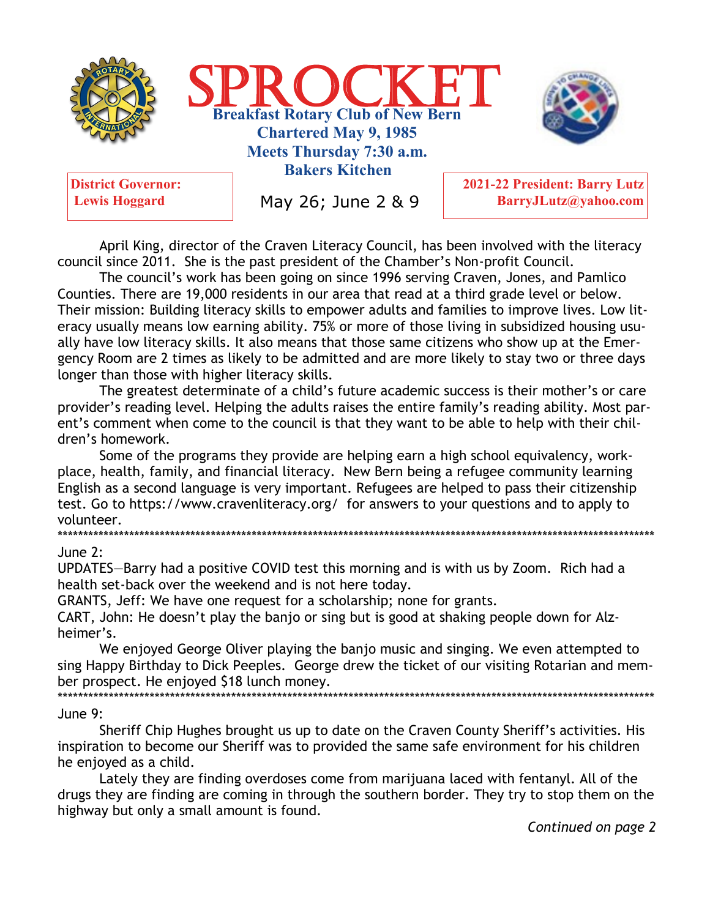



**Lewis Hoggard** 

May 26; June 2 & 9

2021-22 President: Barry Lutz BarryJLutz@yahoo.com

April King, director of the Craven Literacy Council, has been involved with the literacy council since 2011. She is the past president of the Chamber's Non-profit Council.

The council's work has been going on since 1996 serving Craven, Jones, and Pamlico Counties. There are 19,000 residents in our area that read at a third grade level or below. Their mission: Building literacy skills to empower adults and families to improve lives. Low literacy usually means low earning ability. 75% or more of those living in subsidized housing usually have low literacy skills. It also means that those same citizens who show up at the Emergency Room are 2 times as likely to be admitted and are more likely to stay two or three days longer than those with higher literacy skills.

The greatest determinate of a child's future academic success is their mother's or care provider's reading level. Helping the adults raises the entire family's reading ability. Most parent's comment when come to the council is that they want to be able to help with their children's homework.

Some of the programs they provide are helping earn a high school equivalency, workplace, health, family, and financial literacy. New Bern being a refugee community learning English as a second language is very important. Refugees are helped to pass their citizenship test. Go to https://www.cravenliteracy.org/ for answers to your questions and to apply to volunteer. 

#### June  $2:$

UPDATES-Barry had a positive COVID test this morning and is with us by Zoom. Rich had a health set-back over the weekend and is not here today.

GRANTS, Jeff: We have one request for a scholarship; none for grants.

CART, John: He doesn't play the banjo or sing but is good at shaking people down for Alzheimer's.

We enjoyed George Oliver playing the banjo music and singing. We even attempted to sing Happy Birthday to Dick Peeples. George drew the ticket of our visiting Rotarian and member prospect. He enjoyed \$18 lunch money.

#### June 9:

Sheriff Chip Hughes brought us up to date on the Craven County Sheriff's activities. His inspiration to become our Sheriff was to provided the same safe environment for his children he enjoyed as a child.

Lately they are finding overdoses come from marijuana laced with fentanyl. All of the drugs they are finding are coming in through the southern border. They try to stop them on the highway but only a small amount is found.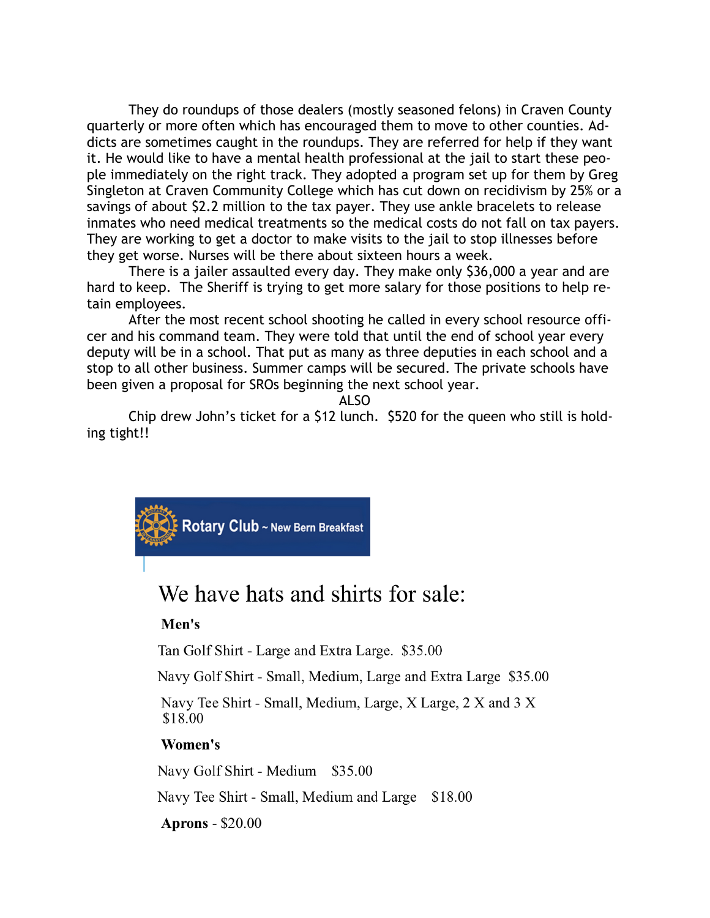They do roundups of those dealers (mostly seasoned felons) in Craven County quarterly or more often which has encouraged them to move to other counties. Addicts are sometimes caught in the roundups. They are referred for help if they want it. He would like to have a mental health professional at the jail to start these people immediately on the right track. They adopted a program set up for them by Greg Singleton at Craven Community College which has cut down on recidivism by 25% or a savings of about \$2.2 million to the tax payer. They use ankle bracelets to release inmates who need medical treatments so the medical costs do not fall on tax payers. They are working to get a doctor to make visits to the jail to stop illnesses before they get worse. Nurses will be there about sixteen hours a week.

There is a jailer assaulted every day. They make only \$36,000 a year and are hard to keep. The Sheriff is trying to get more salary for those positions to help retain employees.

After the most recent school shooting he called in every school resource officer and his command team. They were told that until the end of school year every deputy will be in a school. That put as many as three deputies in each school and a stop to all other business. Summer camps will be secured. The private schools have been given a proposal for SROs beginning the next school year.

ALSO

Chip drew John's ticket for a \$12 lunch. \$520 for the queen who still is holding tight!!



# We have hats and shirts for sale:

# Men's

Tan Golf Shirt - Large and Extra Large. \$35.00

Navy Golf Shirt - Small, Medium, Large and Extra Large \$35.00

Navy Tee Shirt - Small, Medium, Large, X Large, 2 X and 3 X \$18.00

#### Women's

Navy Golf Shirt - Medium \$35.00

Navy Tee Shirt - Small, Medium and Large \$18.00

**Aprons - \$20.00**